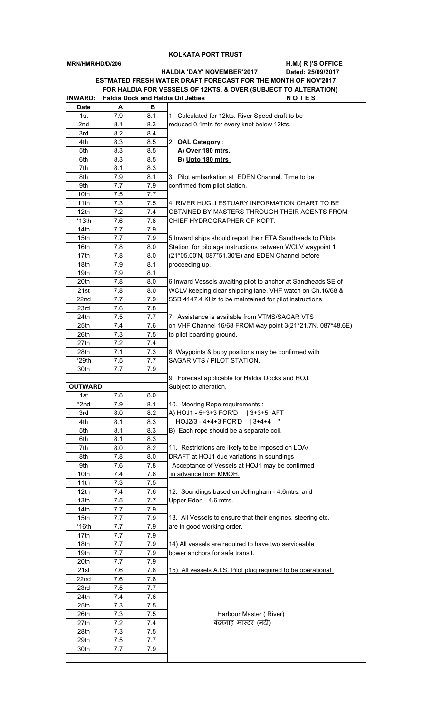|                  |            |            | KOLKATA PORT TRUST                                              |
|------------------|------------|------------|-----------------------------------------------------------------|
| MRN/HMR/HD/D/206 |            |            | $H.M.$ (R)'S OFFICE                                             |
|                  |            |            | <b>HALDIA 'DAY' NOVEMBER'2017</b><br>Dated: 25/09/2017          |
|                  |            |            | ESTMATED FRESH WATER DRAFT FORECAST FOR THE MONTH OF NOV'2017   |
|                  |            |            | FOR HALDIA FOR VESSELS OF 12KTS. & OVER (SUBJECT TO ALTERATION) |
| <b>INWARD:</b>   |            |            | <b>NOTES</b><br><b>Haldia Dock and Haldia Oil Jetties</b>       |
| <b>Date</b>      | A          | в          |                                                                 |
| 1st              | 7.9        | 8.1        | 1. Calculated for 12kts. River Speed draft to be                |
| 2nd              | 8.1        | 8.3        | reduced 0.1mtr. for every knot below 12kts.                     |
| 3rd              | 8.2        | 8.4        |                                                                 |
| 4th              | 8.3        | 8.5        | 2. OAL Category:                                                |
| 5th              | 8.3        | 8.5        | A) Over 180 mtrs.                                               |
| 6th              | 8.3        | 8.5        | B) Upto 180 mtrs                                                |
| 7th              | 8.1        | 8.3        |                                                                 |
| 8th              | 7.9        | 8.1        | 3. Pilot embarkation at EDEN Channel. Time to be                |
| 9th              | 7.7        | 7.9        | confirmed from pilot station.                                   |
| 10th             | 7.5        | 7.7        |                                                                 |
| 11th             | 7.3        | 7.5        | 4. RIVER HUGLI ESTUARY INFORMATION CHART TO BE                  |
| 12 <sub>th</sub> | 7.2        | 7.4        | OBTAINED BY MASTERS THROUGH THEIR AGENTS FROM                   |
| $*13th$          | 7.6        | 7.8        | CHIEF HYDROGRAPHER OF KOPT.                                     |
| 14th             | 7.7        | 7.9        |                                                                 |
| 15th             | 7.7        | 7.9        | 5. Inward ships should report their ETA Sandheads to Pilots     |
| 16th             | 7.8        | 8.0        | Station for pilotage instructions between WCLV waypoint 1       |
| 17th             | 7.8        | 8.0        | (21*05.00'N, 087*51.30'E) and EDEN Channel before               |
| 18th             | 7.9        | 8.1        | proceeding up.                                                  |
| 19th             | 7.9        | 8.1        |                                                                 |
| 20th             | 7.8        | 8.0        | 6. Inward Vessels awaiting pilot to anchor at Sandheads SE of   |
| 21st             | 7.8        | 8.0        | WCLV keeping clear shipping lane. VHF watch on Ch.16/68 &       |
| 22nd             | 7.7        | 7.9        | SSB 4147.4 KHz to be maintained for pilot instructions.         |
| 23rd<br>24th     | 7.6<br>7.5 | 7.8<br>7.7 | 7. Assistance is available from VTMS/SAGAR VTS                  |
| 25th             |            | 7.6        | on VHF Channel 16/68 FROM way point 3(21*21.7N, 087*48.6E)      |
| 26th             | 7.4<br>7.3 | 7.5        | to pilot boarding ground.                                       |
| 27th             | 7.2        | 7.4        |                                                                 |
| 28th             | 7.1        | 7.3        | 8. Waypoints & buoy positions may be confirmed with             |
| *29th            | 7.5        | 7.7        | SAGAR VTS / PILOT STATION.                                      |
| 30th             | 7.7        | 7.9        |                                                                 |
|                  |            |            | 9. Forecast applicable for Haldia Docks and HOJ.                |
| <b>OUTWARD</b>   |            |            | Subject to alteration.                                          |
| 1st              | 7.8        | 8.0        |                                                                 |
| *2nd             | 7.9        | 8.1        | 10. Mooring Rope requirements :                                 |
| 3rd              | 8.0        | 8.2        | A) HOJ1 - 5+3+3 FOR'D<br>  3+3+5 AFT                            |
| 4th              | 8.1        | 8.3        | HOJ2/3 - 4+4+3 FOR'D   3+4+4 "                                  |
| 5th              | 8.1        | 8.3        | B) Each rope should be a separate coil.                         |
| 6th              | 8.1        | 8.3        |                                                                 |
| 7th              | 8.0        | 8.2        | 11. Restrictions are likely to be imposed on LOA/               |
| 8th              | 7.8        | 8.0        | DRAFT at HOJ1 due variations in soundings                       |
| 9th              | 7.6        | 7.8        | Acceptance of Vessels at HOJ1 may be confirmed                  |
| 10th             | 7.4        | 7.6        | in advance from MMOH.                                           |
| 11th             | 7.3        | 7.5        |                                                                 |
| 12 <sub>th</sub> | 7.4        | 7.6        | 12. Soundings based on Jellingham - 4.6mtrs. and                |
| 13th             | 7.5        | 7.7        | Upper Eden - 4.6 mtrs.                                          |
| 14th             | 7.7        | 7.9        |                                                                 |
| 15th             | 7.7        | 7.9        | 13. All Vessels to ensure that their engines, steering etc.     |
| $*16th$          | 7.7        | 7.9        | are in good working order.                                      |
| 17th             | 7.7        | 7.9        |                                                                 |
| 18th             | 7.7        | 7.9        | 14) All vessels are required to have two serviceable            |
| 19th             | 7.7        | 7.9        | bower anchors for safe transit.                                 |
| 20th             | 7.7        | 7.9        |                                                                 |
| 21st             | 7.6        | 7.8        | 15) All vessels A.I.S. Pilot plug required to be operational.   |
| 22nd             | 7.6        | 7.8        |                                                                 |
| 23rd             | 7.5        | 7.7        |                                                                 |
| 24th             | 7.4        | 7.6        |                                                                 |
| 25th             | 7.3        | 7.5        |                                                                 |
| 26th<br>27th     | 7.3<br>7.2 | 7.5        | Harbour Master (River)<br>बंदरगाह मास्टर (नदी)                  |
| 28th             | 7.3        | 7.4<br>7.5 |                                                                 |
| 29th             | 7.5        | 7.7        |                                                                 |
| 30th             | 7.7        | 7.9        |                                                                 |
|                  |            |            |                                                                 |